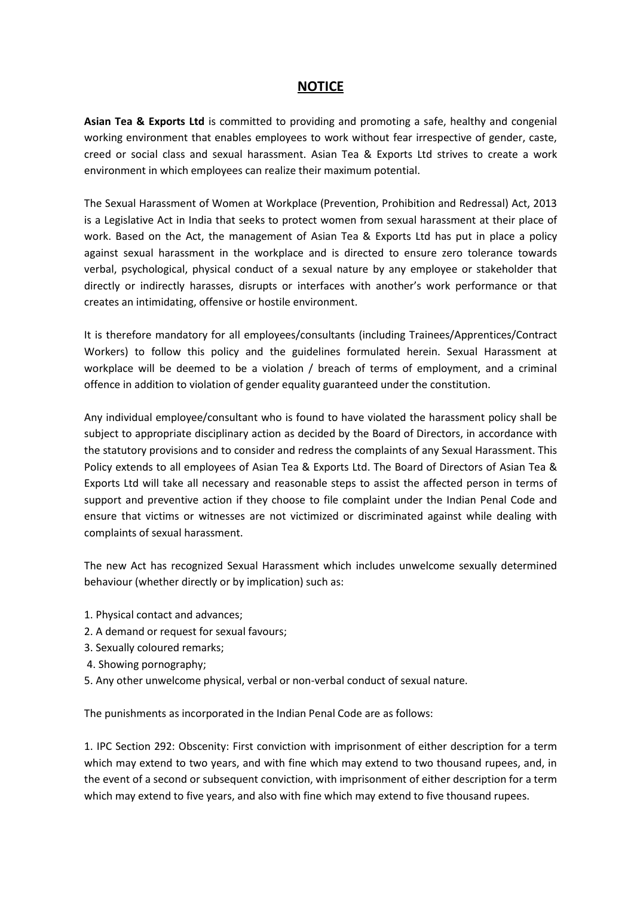## **NOTICE**

**Asian Tea & Exports Ltd** is committed to providing and promoting a safe, healthy and congenial working environment that enables employees to work without fear irrespective of gender, caste, creed or social class and sexual harassment. Asian Tea & Exports Ltd strives to create a work environment in which employees can realize their maximum potential.

The Sexual Harassment of Women at Workplace (Prevention, Prohibition and Redressal) Act, 2013 is a Legislative Act in India that seeks to protect women from sexual harassment at their place of work. Based on the Act, the management of Asian Tea & Exports Ltd has put in place a policy against sexual harassment in the workplace and is directed to ensure zero tolerance towards verbal, psychological, physical conduct of a sexual nature by any employee or stakeholder that directly or indirectly harasses, disrupts or interfaces with another's work performance or that creates an intimidating, offensive or hostile environment.

It is therefore mandatory for all employees/consultants (including Trainees/Apprentices/Contract Workers) to follow this policy and the guidelines formulated herein. Sexual Harassment at workplace will be deemed to be a violation / breach of terms of employment, and a criminal offence in addition to violation of gender equality guaranteed under the constitution.

Any individual employee/consultant who is found to have violated the harassment policy shall be subject to appropriate disciplinary action as decided by the Board of Directors, in accordance with the statutory provisions and to consider and redress the complaints of any Sexual Harassment. This Policy extends to all employees of Asian Tea & Exports Ltd. The Board of Directors of Asian Tea & Exports Ltd will take all necessary and reasonable steps to assist the affected person in terms of support and preventive action if they choose to file complaint under the Indian Penal Code and ensure that victims or witnesses are not victimized or discriminated against while dealing with complaints of sexual harassment.

The new Act has recognized Sexual Harassment which includes unwelcome sexually determined behaviour (whether directly or by implication) such as:

- 1. Physical contact and advances;
- 2. A demand or request for sexual favours;
- 3. Sexually coloured remarks;
- 4. Showing pornography;
- 5. Any other unwelcome physical, verbal or non-verbal conduct of sexual nature.

The punishments as incorporated in the Indian Penal Code are as follows:

1. IPC Section 292: Obscenity: First conviction with imprisonment of either description for a term which may extend to two years, and with fine which may extend to two thousand rupees, and, in the event of a second or subsequent conviction, with imprisonment of either description for a term which may extend to five years, and also with fine which may extend to five thousand rupees.